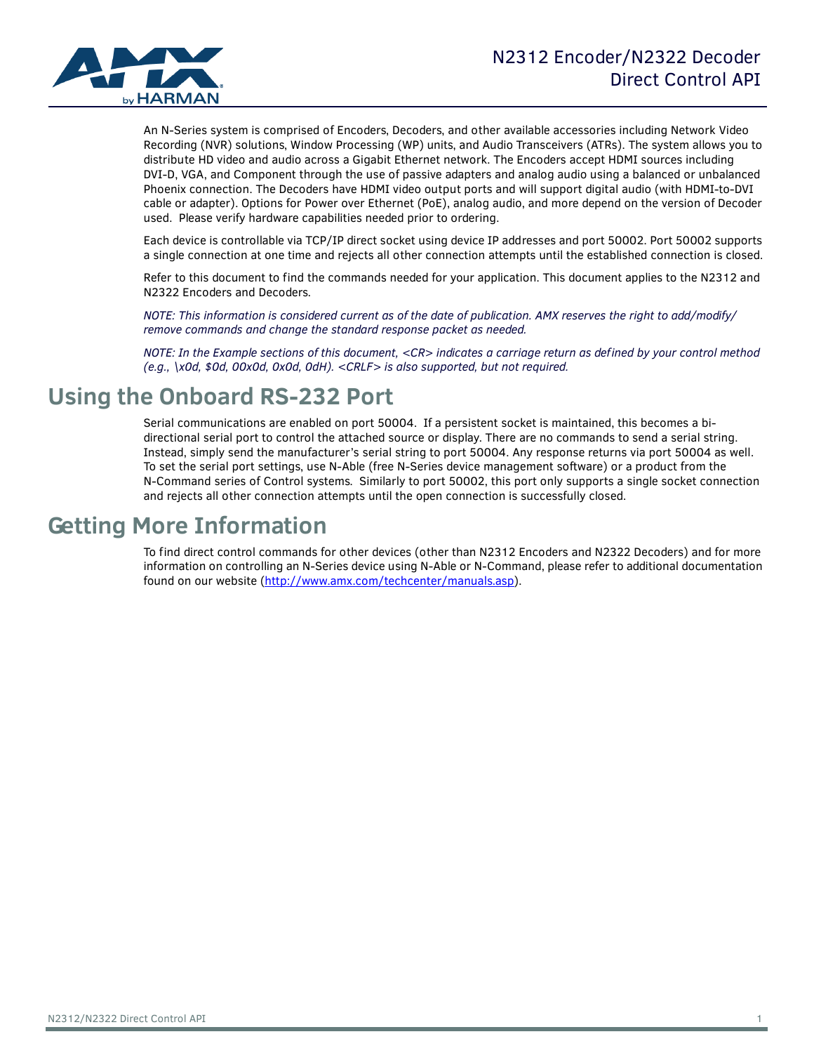

An N-Series system is comprised of Encoders, Decoders, and other available accessories including Network Video Recording (NVR) solutions, Window Processing (WP) units, and Audio Transceivers (ATRs). The system allows you to distribute HD video and audio across a Gigabit Ethernet network. The Encoders accept HDMI sources including DVI-D, VGA, and Component through the use of passive adapters and analog audio using a balanced or unbalanced Phoenix connection. The Decoders have HDMI video output ports and will support digital audio (with HDMI-to-DVI cable or adapter). Options for Power over Ethernet (PoE), analog audio, and more depend on the version of Decoder used. Please verify hardware capabilities needed prior to ordering.

Each device is controllable via TCP/IP direct socket using device IP addresses and port 50002. Port 50002 supports a single connection at one time and rejects all other connection attempts until the established connection is closed.

Refer to this document to find the commands needed for your application. This document applies to the N2312 and N2322 Encoders and Decoders.

*NOTE: This information is considered current as of the date of publication. AMX reserves the right to add/modify/ remove commands and change the standard response packet as needed.*

*NOTE: In the Example sections of this document, <CR> indicates a carriage return as defined by your control method (e.g., \x0d, \$0d, 00x0d, 0x0d, 0dH). <CRLF> is also supported, but not required.*

## **Using the Onboard RS-232 Port**

Serial communications are enabled on port 50004. If a persistent socket is maintained, this becomes a bidirectional serial port to control the attached source or display. There are no commands to send a serial string. Instead, simply send the manufacturer's serial string to port 50004. Any response returns via port 50004 as well. To set the serial port settings, use N-Able (free N-Series device management software) or a product from the N-Command series of Control systems. Similarly to port 50002, this port only supports a single socket connection and rejects all other connection attempts until the open connection is successfully closed.

## **Getting More Information**

To find direct control commands for other devices (other than N2312 Encoders and N2322 Decoders) and for more information on controlling an N-Series device using N-Able or N-Command, please refer to additional documentation found on our website (http://www.amx.com/techcenter/manuals.asp).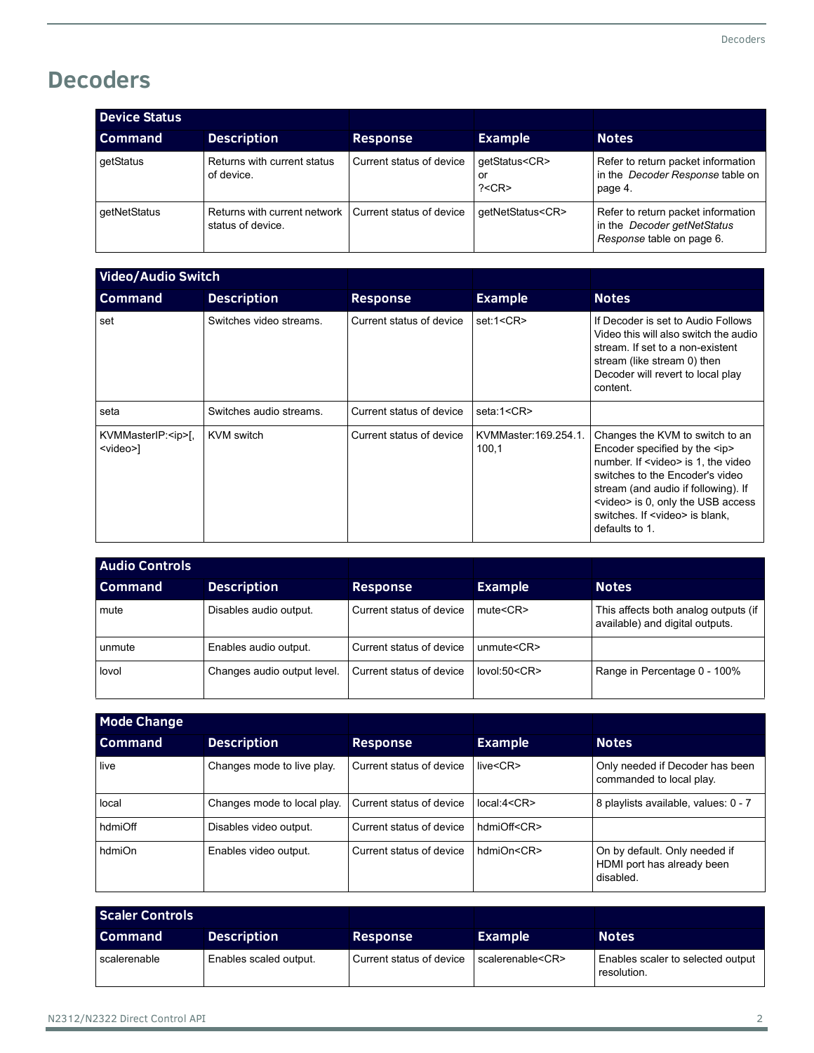## **Decoders**

| <b>Device Status</b> |                                                     |                          |                                          |                                                                                                |
|----------------------|-----------------------------------------------------|--------------------------|------------------------------------------|------------------------------------------------------------------------------------------------|
| <b>Command</b>       | <b>Description</b>                                  | <b>Response</b>          | <b>Example</b>                           | <b>Notes</b>                                                                                   |
| getStatus            | Returns with current status<br>of device.           | Current status of device | qetStatus <cr><br/>Οľ<br/>? &lt; CR</cr> | Refer to return packet information<br>in the Decoder Response table on<br>page 4.              |
| getNetStatus         | Returns with current network  <br>status of device. | Current status of device | qetNetStatus <cr></cr>                   | Refer to return packet information<br>in the Decoder getNetStatus<br>Response table on page 6. |

| <b>Video/Audio Switch</b>                     |                         |                          |                               |                                                                                                                                                                                                                                                                                                                 |
|-----------------------------------------------|-------------------------|--------------------------|-------------------------------|-----------------------------------------------------------------------------------------------------------------------------------------------------------------------------------------------------------------------------------------------------------------------------------------------------------------|
| <b>Command</b>                                | <b>Description</b>      | <b>Response</b>          | <b>Example</b>                | <b>Notes</b>                                                                                                                                                                                                                                                                                                    |
| set                                           | Switches video streams. | Current status of device | set:1 <cr></cr>               | If Decoder is set to Audio Follows<br>Video this will also switch the audio<br>stream. If set to a non-existent<br>stream (like stream 0) then<br>Decoder will revert to local play<br>content.                                                                                                                 |
| seta                                          | Switches audio streams. | Current status of device | seta:1 <cr></cr>              |                                                                                                                                                                                                                                                                                                                 |
| KVMMasterIP: <ip>[,<br/><video>]</video></ip> | KVM switch              | Current status of device | KVMMaster:169.254.1.<br>100,1 | Changes the KVM to switch to an<br>Encoder specified by the $\langle$ ip><br>number. If <video> is 1, the video<br/>switches to the Encoder's video<br/>stream (and audio if following). If<br/><video> is 0, only the USB access<br/>switches. If <video> is blank.<br/>defaults to 1.</video></video></video> |

| <b>Audio Controls</b> |                             |                          |                   |                                                                         |
|-----------------------|-----------------------------|--------------------------|-------------------|-------------------------------------------------------------------------|
| l Command             | <b>Description</b>          | <b>Response</b>          | <b>Example</b>    | <b>Notes</b>                                                            |
| mute                  | Disables audio output.      | Current status of device | mute < CR         | This affects both analog outputs (if<br>available) and digital outputs. |
| unmute                | Enables audio output.       | Current status of device | unmute $<$ CR $>$ |                                                                         |
| lovol                 | Changes audio output level. | Current status of device | lovol:50 < CR     | Range in Percentage 0 - 100%                                            |

| <b>Mode Change</b> |                             |                          |                   |                                                                          |
|--------------------|-----------------------------|--------------------------|-------------------|--------------------------------------------------------------------------|
| <b>Command</b>     | <b>Description</b>          | <b>Response</b>          | <b>Example</b>    | <b>Notes</b>                                                             |
| live               | Changes mode to live play.  | Current status of device | live <cr></cr>    | Only needed if Decoder has been<br>commanded to local play.              |
| local              | Changes mode to local play. | Current status of device | local:4 < CR      | 8 playlists available, values: 0 - 7                                     |
| hdmiOff            | Disables video output.      | Current status of device | hdmiOff <cr></cr> |                                                                          |
| hdmiOn             | Enables video output.       | Current status of device | hdmiOn <cr></cr>  | On by default. Only needed if<br>HDMI port has already been<br>disabled. |

| Scaler Controls |                        |                          |                        |                                                  |
|-----------------|------------------------|--------------------------|------------------------|--------------------------------------------------|
| <b>Command</b>  | <b>Description</b>     | <b>Response</b>          | <b>Example</b>         | <b>Notes</b>                                     |
| l scalerenable  | Enables scaled output. | Current status of device | scalerenable <cr></cr> | Enables scaler to selected output<br>resolution. |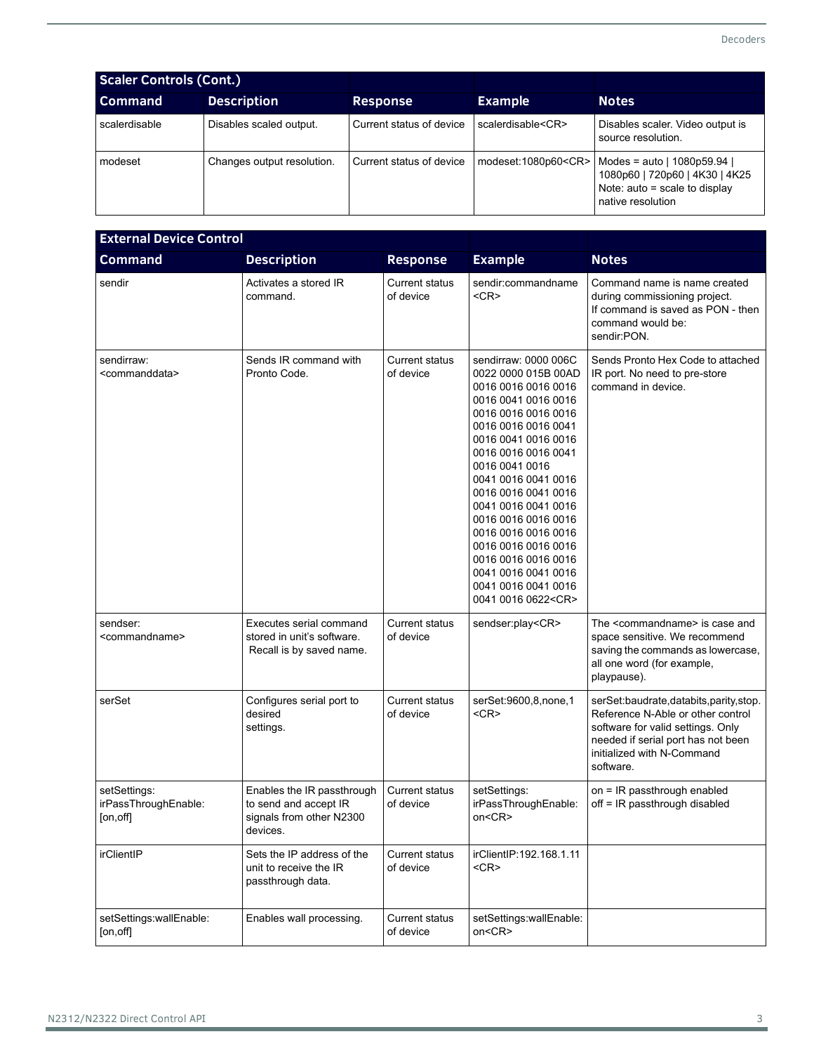| <b>Scaler Controls (Cont.)</b> |                            |                          |                           |                                                                                                                       |
|--------------------------------|----------------------------|--------------------------|---------------------------|-----------------------------------------------------------------------------------------------------------------------|
| <b>Command</b>                 | <b>Description</b>         | <b>Response</b>          | <b>Example</b>            | <b>Notes</b>                                                                                                          |
| scalerdisable                  | Disables scaled output.    | Current status of device | scalerdisable <cr></cr>   | Disables scaler. Video output is<br>source resolution.                                                                |
| modeset                        | Changes output resolution. | Current status of device | modeset:1080p60 <cr></cr> | Modes = auto   1080p59.94  <br>1080p60   720p60   4K30   4K25<br>Note: $auto = scale to display$<br>native resolution |

| <b>External Device Control</b>                    |                                                                                             |                                    |                                                                                                                                                                                                                                                                                                                                                                                                                                                    |                                                                                                                                                                                                     |
|---------------------------------------------------|---------------------------------------------------------------------------------------------|------------------------------------|----------------------------------------------------------------------------------------------------------------------------------------------------------------------------------------------------------------------------------------------------------------------------------------------------------------------------------------------------------------------------------------------------------------------------------------------------|-----------------------------------------------------------------------------------------------------------------------------------------------------------------------------------------------------|
| <b>Command</b>                                    | <b>Description</b>                                                                          | <b>Response</b>                    | <b>Example</b>                                                                                                                                                                                                                                                                                                                                                                                                                                     | <b>Notes</b>                                                                                                                                                                                        |
| sendir                                            | Activates a stored IR<br>command.                                                           | <b>Current status</b><br>of device | sendir:commandname<br>$<$ CR $>$                                                                                                                                                                                                                                                                                                                                                                                                                   | Command name is name created<br>during commissioning project.<br>If command is saved as PON - then<br>command would be:<br>sendir:PON.                                                              |
| sendirraw:<br><commanddata></commanddata>         | Sends IR command with<br>Pronto Code.                                                       | <b>Current status</b><br>of device | sendirraw: 0000 006C<br>0022 0000 015B 00AD<br>0016 0016 0016 0016<br>0016 0041 0016 0016<br>0016 0016 0016 0016<br>0016 0016 0016 0041<br>0016 0041 0016 0016<br>0016 0016 0016 0041<br>0016 0041 0016<br>0041 0016 0041 0016<br>0016 0016 0041 0016<br>0041 0016 0041 0016<br>0016 0016 0016 0016<br>0016 0016 0016 0016<br>0016 0016 0016 0016<br>0016 0016 0016 0016<br>0041 0016 0041 0016<br>0041 0016 0041 0016<br>0041 0016 0622 <cr></cr> | Sends Pronto Hex Code to attached<br>IR port. No need to pre-store<br>command in device.                                                                                                            |
| sendser:<br><commandname></commandname>           | Executes serial command<br>stored in unit's software.<br>Recall is by saved name.           | <b>Current status</b><br>of device | sendser:play <cr></cr>                                                                                                                                                                                                                                                                                                                                                                                                                             | The <commandname> is case and<br/>space sensitive. We recommend<br/>saving the commands as lowercase,<br/>all one word (for example,<br/>playpause).</commandname>                                  |
| serSet                                            | Configures serial port to<br>desired<br>settings.                                           | <b>Current status</b><br>of device | serSet:9600,8,none,1<br>$<$ CR $>$                                                                                                                                                                                                                                                                                                                                                                                                                 | serSet baudrate, databits, parity, stop.<br>Reference N-Able or other control<br>software for valid settings. Only<br>needed if serial port has not been<br>initialized with N-Command<br>software. |
| setSettings:<br>irPassThroughEnable:<br>[on, off] | Enables the IR passthrough<br>to send and accept IR<br>signals from other N2300<br>devices. | <b>Current status</b><br>of device | setSettings:<br>irPassThroughEnable:<br>on <cr></cr>                                                                                                                                                                                                                                                                                                                                                                                               | on = IR passthrough enabled<br>off = IR passthrough disabled                                                                                                                                        |
| irClientIP                                        | Sets the IP address of the<br>unit to receive the IR<br>passthrough data.                   | Current status<br>of device        | irClientIP:192.168.1.11<br>$<$ CR $>$                                                                                                                                                                                                                                                                                                                                                                                                              |                                                                                                                                                                                                     |
| setSettings:wallEnable:<br>[on, off]              | Enables wall processing.                                                                    | <b>Current status</b><br>of device | setSettings:wallEnable:<br>on <cr></cr>                                                                                                                                                                                                                                                                                                                                                                                                            |                                                                                                                                                                                                     |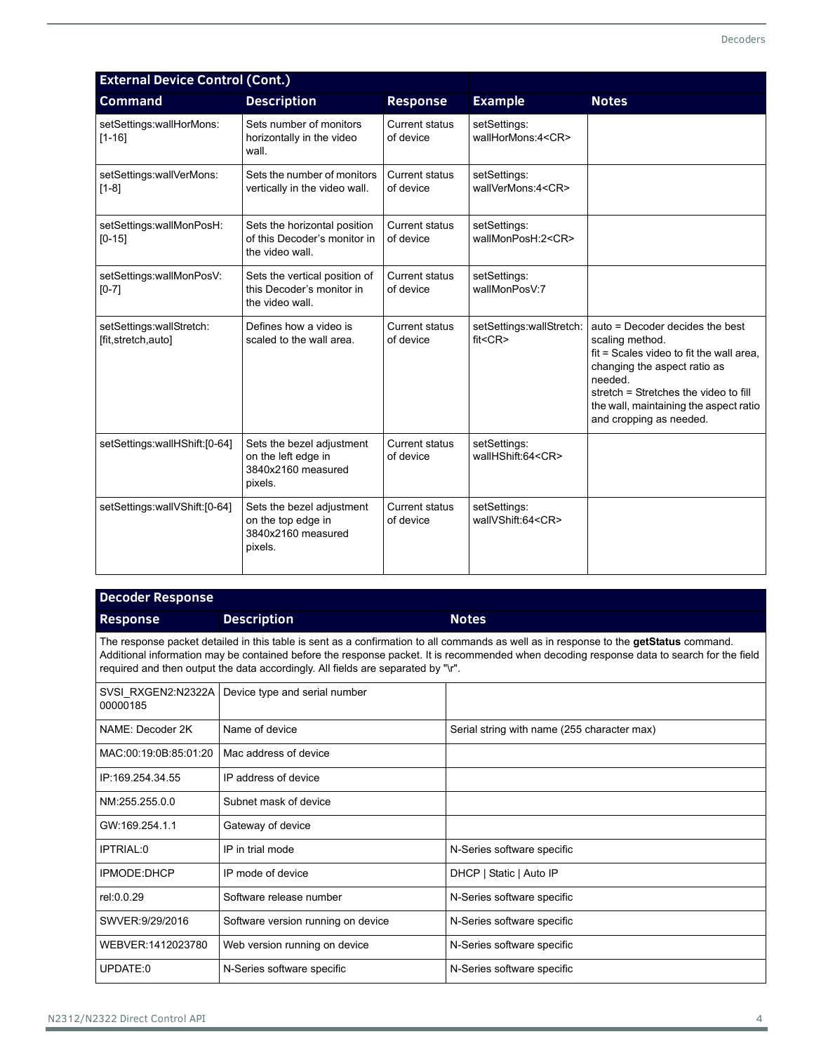| <b>External Device Control (Cont.)</b>         |                                                                                   |                                    |                                            |                                                                                                                                                                                                                                                         |
|------------------------------------------------|-----------------------------------------------------------------------------------|------------------------------------|--------------------------------------------|---------------------------------------------------------------------------------------------------------------------------------------------------------------------------------------------------------------------------------------------------------|
| <b>Command</b>                                 | <b>Description</b>                                                                | <b>Response</b>                    | <b>Example</b>                             | <b>Notes</b>                                                                                                                                                                                                                                            |
| setSettings:wallHorMons:<br>$[1 - 16]$         | Sets number of monitors<br>horizontally in the video<br>wall.                     | <b>Current status</b><br>of device | setSettings:<br>wallHorMons:4 <cr></cr>    |                                                                                                                                                                                                                                                         |
| setSettings:wallVerMons:<br>$[1-8]$            | Sets the number of monitors<br>vertically in the video wall.                      | <b>Current status</b><br>of device | setSettings:<br>wallVerMons:4 <cr></cr>    |                                                                                                                                                                                                                                                         |
| setSettings:wallMonPosH:<br>$[0-15]$           | Sets the horizontal position<br>of this Decoder's monitor in<br>the video wall.   | <b>Current status</b><br>of device | setSettings:<br>wallMonPosH:2 <cr></cr>    |                                                                                                                                                                                                                                                         |
| setSettings:wallMonPosV:<br>$[0-7]$            | Sets the vertical position of<br>this Decoder's monitor in<br>the video wall.     | <b>Current status</b><br>of device | setSettings:<br>wallMonPosV:7              |                                                                                                                                                                                                                                                         |
| setSettings:wallStretch:<br>[fit,stretch,auto] | Defines how a video is<br>scaled to the wall area.                                | <b>Current status</b><br>of device | setSettings:wallStretch:<br>$fit <$ CR $>$ | auto = Decoder decides the best<br>scaling method.<br>fit = Scales video to fit the wall area.<br>changing the aspect ratio as<br>needed.<br>stretch = Stretches the video to fill<br>the wall, maintaining the aspect ratio<br>and cropping as needed. |
| setSettings:wallHShift:[0-64]                  | Sets the bezel adjustment<br>on the left edge in<br>3840x2160 measured<br>pixels. | <b>Current status</b><br>of device | setSettings:<br>wallHShift:64 <cr></cr>    |                                                                                                                                                                                                                                                         |
| setSettings:wallVShift:[0-64]                  | Sets the bezel adjustment<br>on the top edge in<br>3840x2160 measured<br>pixels.  | <b>Current status</b><br>of device | setSettings:<br>wallVShift:64 <cr></cr>    |                                                                                                                                                                                                                                                         |

| <b>Decoder Response</b>                                                                                                                                                                                                                                                                                                                                                |                                                  |                                             |  |  |  |
|------------------------------------------------------------------------------------------------------------------------------------------------------------------------------------------------------------------------------------------------------------------------------------------------------------------------------------------------------------------------|--------------------------------------------------|---------------------------------------------|--|--|--|
| <b>Response</b>                                                                                                                                                                                                                                                                                                                                                        | <b>Description</b>                               | <b>Notes</b>                                |  |  |  |
| The response packet detailed in this table is sent as a confirmation to all commands as well as in response to the getStatus command.<br>Additional information may be contained before the response packet. It is recommended when decoding response data to search for the field<br>required and then output the data accordingly. All fields are separated by "\r". |                                                  |                                             |  |  |  |
| 00000185                                                                                                                                                                                                                                                                                                                                                               | SVSI RXGEN2:N2322A Device type and serial number |                                             |  |  |  |
| NAME: Decoder 2K                                                                                                                                                                                                                                                                                                                                                       | Name of device                                   | Serial string with name (255 character max) |  |  |  |
| MAC:00:19:0B:85:01:20                                                                                                                                                                                                                                                                                                                                                  | Mac address of device                            |                                             |  |  |  |
| IP:169.254.34.55                                                                                                                                                                                                                                                                                                                                                       | IP address of device                             |                                             |  |  |  |
| NM:255.255.0.0                                                                                                                                                                                                                                                                                                                                                         | Subnet mask of device                            |                                             |  |  |  |

| GW:169.254.1.1    | Gateway of device                  |                            |
|-------------------|------------------------------------|----------------------------|
| IPTRIAL:0         | IP in trial mode                   | N-Series software specific |
| IPMODE:DHCP       | IP mode of device                  | DHCP   Static   Auto IP    |
| rel:0.0.29        | Software release number            | N-Series software specific |
| SWVER 9/29/2016   | Software version running on device | N-Series software specific |
| WEBVER:1412023780 | Web version running on device      | N-Series software specific |
| UPDATE:0          | N-Series software specific         | N-Series software specific |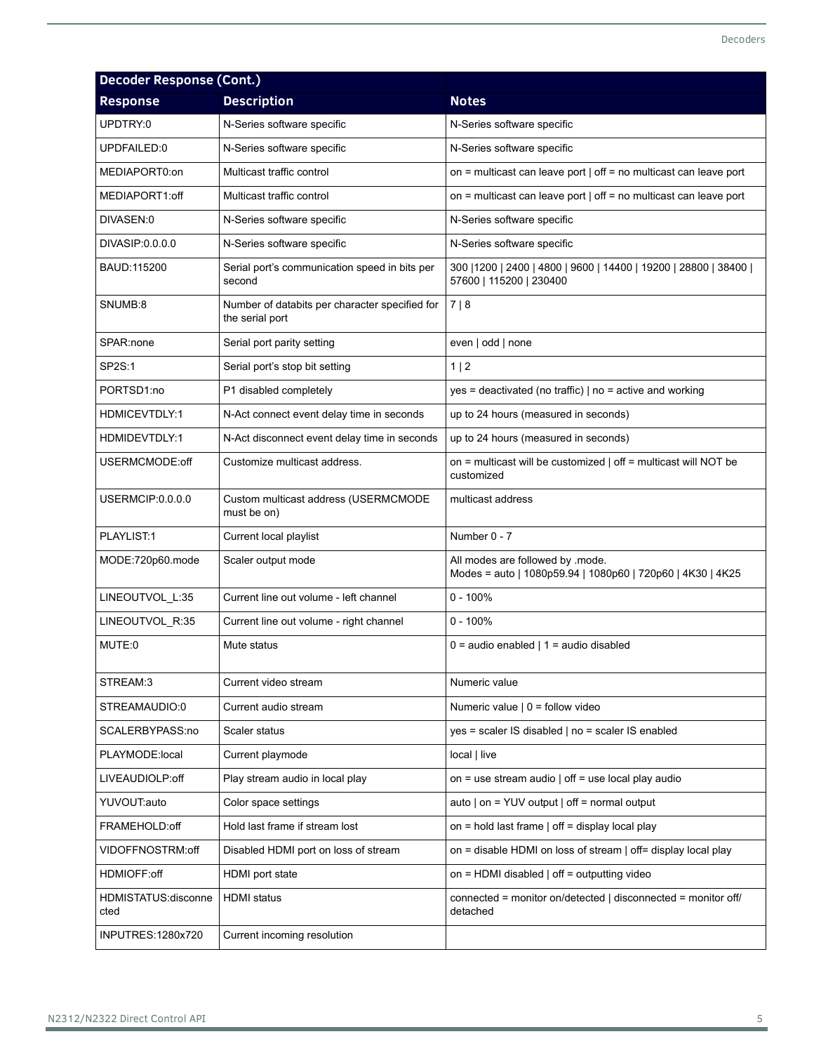| <b>Decoder Response (Cont.)</b> |                                                                   |                                                                                                |  |  |
|---------------------------------|-------------------------------------------------------------------|------------------------------------------------------------------------------------------------|--|--|
| <b>Response</b>                 | <b>Description</b>                                                | <b>Notes</b>                                                                                   |  |  |
| UPDTRY:0                        | N-Series software specific                                        | N-Series software specific                                                                     |  |  |
| UPDFAILED:0                     | N-Series software specific                                        | N-Series software specific                                                                     |  |  |
| MEDIAPORT0:on                   | Multicast traffic control                                         | on = multicast can leave port $ $ off = no multicast can leave port                            |  |  |
| MEDIAPORT1:off                  | Multicast traffic control                                         | on = multicast can leave port $ $ off = no multicast can leave port                            |  |  |
| DIVASEN:0                       | N-Series software specific                                        | N-Series software specific                                                                     |  |  |
| DIVASIP:0.0.0.0                 | N-Series software specific                                        | N-Series software specific                                                                     |  |  |
| BAUD:115200                     | Serial port's communication speed in bits per<br>second           | 300   1200   2400   4800   9600   14400   19200   28800   38400  <br>57600   115200   230400   |  |  |
| SNUMB:8                         | Number of databits per character specified for<br>the serial port | 7 8                                                                                            |  |  |
| SPAR:none                       | Serial port parity setting                                        | even   odd   none                                                                              |  |  |
| SP2S:1                          | Serial port's stop bit setting                                    | 1 2                                                                                            |  |  |
| PORTSD1:no                      | P1 disabled completely                                            | yes = deactivated (no traffic)   no = active and working                                       |  |  |
| HDMICEVTDLY:1                   | N-Act connect event delay time in seconds                         | up to 24 hours (measured in seconds)                                                           |  |  |
| HDMIDEVTDLY:1                   | N-Act disconnect event delay time in seconds                      | up to 24 hours (measured in seconds)                                                           |  |  |
| USERMCMODE:off                  | Customize multicast address.                                      | on = multicast will be customized   off = multicast will NOT be<br>customized                  |  |  |
| USERMCIP:0.0.0.0                | Custom multicast address (USERMCMODE<br>must be on)               | multicast address                                                                              |  |  |
| PLAYLIST:1                      | Current local playlist                                            | Number 0 - 7                                                                                   |  |  |
| MODE:720p60.mode                | Scaler output mode                                                | All modes are followed by .mode.<br>Modes = auto   1080p59.94   1080p60   720p60   4K30   4K25 |  |  |
| LINEOUTVOL_L:35                 | Current line out volume - left channel                            | $0 - 100%$                                                                                     |  |  |
| LINEOUTVOL_R:35                 | Current line out volume - right channel                           | $0 - 100%$                                                                                     |  |  |
| MUTE:0                          | Mute status                                                       | $0 =$ audio enabled   1 = audio disabled                                                       |  |  |
| STREAM:3                        | Current video stream                                              | Numeric value                                                                                  |  |  |
| STREAMAUDIO:0                   | Current audio stream                                              | Numeric value $  0 =$ follow video                                                             |  |  |
| SCALERBYPASS:no                 | Scaler status                                                     | yes = scaler IS disabled   no = scaler IS enabled                                              |  |  |
| PLAYMODE:local                  | Current playmode                                                  | local   live                                                                                   |  |  |
| LIVEAUDIOLP:off                 | Play stream audio in local play                                   | on = use stream audio $ $ off = use local play audio                                           |  |  |
| YUVOUT:auto                     | Color space settings                                              | auto $ $ on = YUV output $ $ off = normal output                                               |  |  |
| FRAMEHOLD:off                   | Hold last frame if stream lost                                    | on = hold last frame $ $ off = display local play                                              |  |  |
| VIDOFFNOSTRM:off                | Disabled HDMI port on loss of stream                              | on = disable HDMI on loss of stream   off= display local play                                  |  |  |
| HDMIOFF:off                     | HDMI port state                                                   | on = HDMI disabled   off = outputting video                                                    |  |  |
| HDMISTATUS:disconne<br>cted     | <b>HDMI</b> status                                                | connected = monitor on/detected   disconnected = monitor off/<br>detached                      |  |  |
| INPUTRES: 1280x720              | Current incoming resolution                                       |                                                                                                |  |  |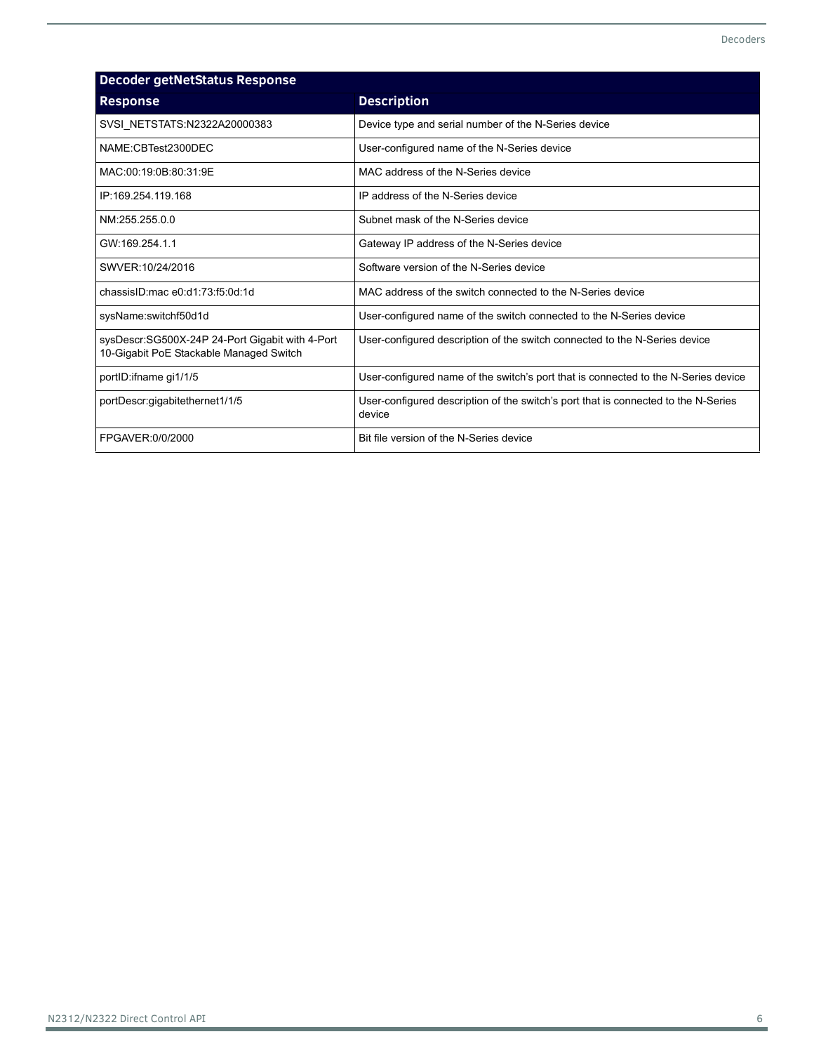<span id="page-5-0"></span>

| <b>Decoder getNetStatus Response</b>                                                       |                                                                                              |  |  |
|--------------------------------------------------------------------------------------------|----------------------------------------------------------------------------------------------|--|--|
| <b>Response</b>                                                                            | <b>Description</b>                                                                           |  |  |
| SVSI NETSTATS:N2322A20000383                                                               | Device type and serial number of the N-Series device                                         |  |  |
| NAME:CBTest2300DEC                                                                         | User-configured name of the N-Series device                                                  |  |  |
| MAC:00:19:0B:80:31:9E                                                                      | MAC address of the N-Series device                                                           |  |  |
| IP:169.254.119.168                                                                         | IP address of the N-Series device                                                            |  |  |
| NM:255.255.0.0                                                                             | Subnet mask of the N-Series device                                                           |  |  |
| GW:169 254 11                                                                              | Gateway IP address of the N-Series device                                                    |  |  |
| SWVER: 10/24/2016                                                                          | Software version of the N-Series device                                                      |  |  |
| chassisID mac e0:d1:73:f5:0d:1d                                                            | MAC address of the switch connected to the N-Series device                                   |  |  |
| sysName:switchf50d1d                                                                       | User-configured name of the switch connected to the N-Series device                          |  |  |
| sysDescr:SG500X-24P 24-Port Gigabit with 4-Port<br>10-Gigabit PoE Stackable Managed Switch | User-configured description of the switch connected to the N-Series device                   |  |  |
| portID:ifname gi1/1/5                                                                      | User-configured name of the switch's port that is connected to the N-Series device           |  |  |
| portDescr:gigabitethernet1/1/5                                                             | User-configured description of the switch's port that is connected to the N-Series<br>device |  |  |
| FPGAVER:0/0/2000                                                                           | Bit file version of the N-Series device                                                      |  |  |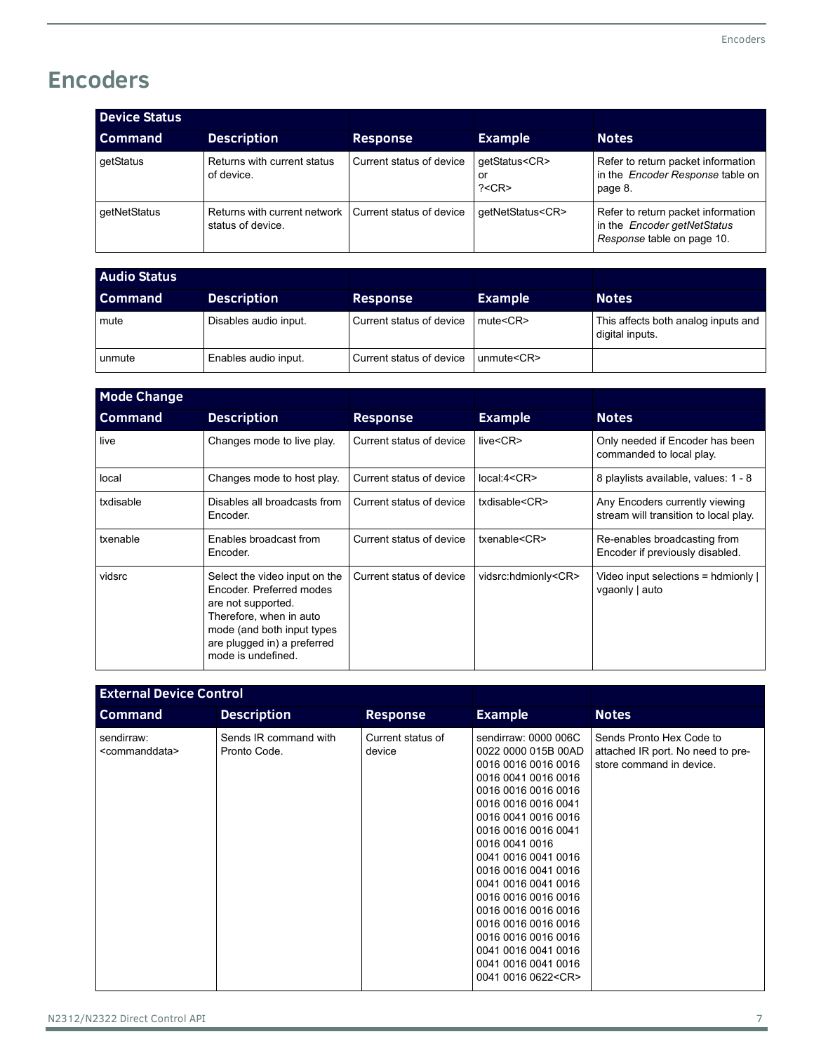## **Encoders**

| <b>Device Status</b> |                                                                              |                          |                                          |                                                                                                 |
|----------------------|------------------------------------------------------------------------------|--------------------------|------------------------------------------|-------------------------------------------------------------------------------------------------|
| <b>Command</b>       | <b>Description</b>                                                           | <b>Response</b>          | <b>Example</b>                           | <b>Notes</b>                                                                                    |
| getStatus            | Returns with current status<br>of device.                                    | Current status of device | qetStatus <cr><br/>or<br/>? &lt; CR</cr> | Refer to return packet information<br>in the <i>Encoder Response</i> table on<br>page 8.        |
| getNetStatus         | Returns with current network   Current status of device<br>status of device. |                          | qetNetStatus <cr></cr>                   | Refer to return packet information<br>in the Encoder getNetStatus<br>Response table on page 10. |

| <b>Audio Status</b> |                       |                          |                |                                                        |
|---------------------|-----------------------|--------------------------|----------------|--------------------------------------------------------|
| Command             | <b>Description</b>    | <b>Response</b>          | <b>Example</b> | <b>Notes</b>                                           |
| mute                | Disables audio input. | Current status of device | $mute <$ $CR$  | This affects both analog inputs and<br>digital inputs. |
| unmute              | Enables audio input.  | Current status of device | umwte < CR     |                                                        |

| <b>Mode Change</b> |                                                                                                                                                                                               |                          |                           |                                                                         |
|--------------------|-----------------------------------------------------------------------------------------------------------------------------------------------------------------------------------------------|--------------------------|---------------------------|-------------------------------------------------------------------------|
| Command            | <b>Description</b>                                                                                                                                                                            | <b>Response</b>          | <b>Example</b>            | Notes                                                                   |
| live               | Changes mode to live play.                                                                                                                                                                    | Current status of device | live <cr></cr>            | Only needed if Encoder has been<br>commanded to local play.             |
| local              | Changes mode to host play.                                                                                                                                                                    | Current status of device | local:4 <cr></cr>         | 8 playlists available, values: 1 - 8                                    |
| txdisable          | Disables all broadcasts from<br>Encoder.                                                                                                                                                      | Current status of device | txdisable <cr></cr>       | Any Encoders currently viewing<br>stream will transition to local play. |
| txenable           | Enables broadcast from<br>Encoder.                                                                                                                                                            | Current status of device | txenable <cr></cr>        | Re-enables broadcasting from<br>Encoder if previously disabled.         |
| vidsrc             | Select the video input on the<br>Encoder, Preferred modes<br>are not supported.<br>Therefore, when in auto<br>mode (and both input types<br>are plugged in) a preferred<br>mode is undefined. | Current status of device | vidsrc:hdmionly <cr></cr> | Video input selections = hdmionly  <br>vgaonly   auto                   |

| <b>External Device Control</b>            |                                       |                             |                                                                                                                                                                                                                                                                                                                                                                                                                                                    |                                                                                           |
|-------------------------------------------|---------------------------------------|-----------------------------|----------------------------------------------------------------------------------------------------------------------------------------------------------------------------------------------------------------------------------------------------------------------------------------------------------------------------------------------------------------------------------------------------------------------------------------------------|-------------------------------------------------------------------------------------------|
| <b>Command</b>                            | <b>Description</b>                    | <b>Response</b>             | <b>Example</b>                                                                                                                                                                                                                                                                                                                                                                                                                                     | <b>Notes</b>                                                                              |
| sendirraw:<br><commanddata></commanddata> | Sends IR command with<br>Pronto Code. | Current status of<br>device | sendirraw: 0000 006C<br>0022 0000 015B 00AD<br>0016 0016 0016 0016<br>0016 0041 0016 0016<br>0016 0016 0016 0016<br>0016 0016 0016 0041<br>0016 0041 0016 0016<br>0016 0016 0016 0041<br>0016 0041 0016<br>0041 0016 0041 0016<br>0016 0016 0041 0016<br>0041 0016 0041 0016<br>0016 0016 0016 0016<br>0016 0016 0016 0016<br>0016 0016 0016 0016<br>0016 0016 0016 0016<br>0041 0016 0041 0016<br>0041 0016 0041 0016<br>0041 0016 0622 <cr></cr> | Sends Pronto Hex Code to<br>attached IR port. No need to pre-<br>store command in device. |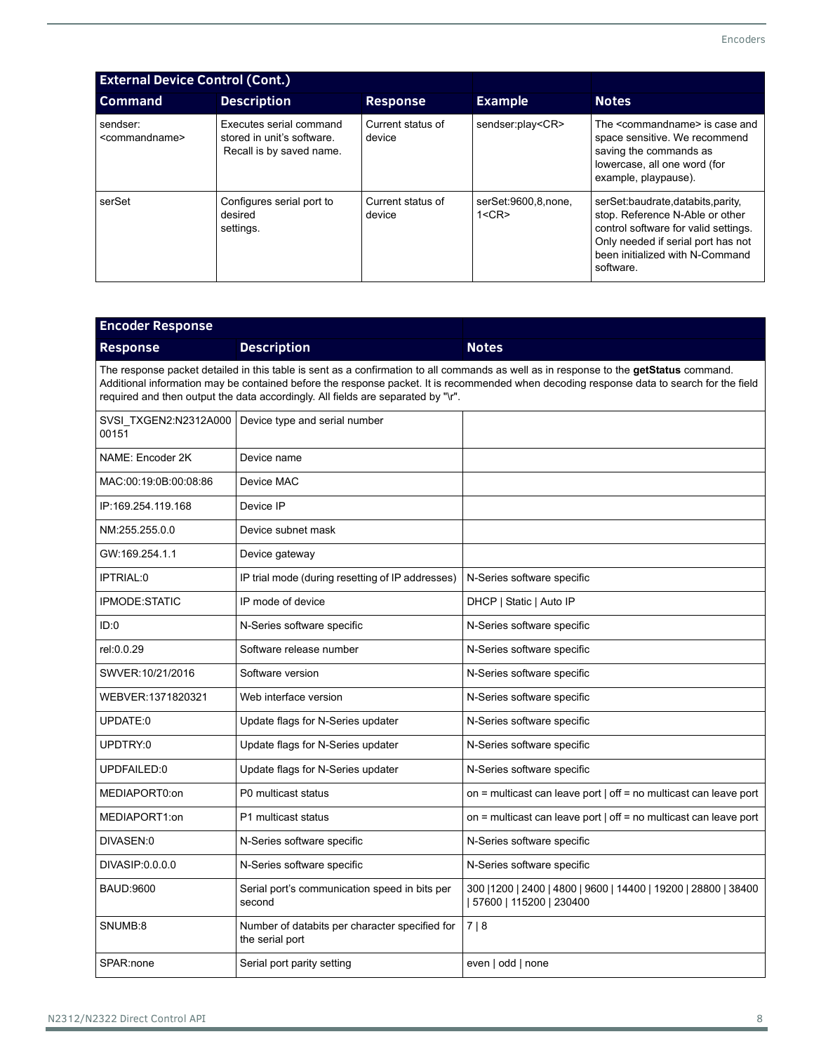| <b>External Device Control (Cont.)</b>  |                                                                                   |                             |                               |                                                                                                                                                                                                   |
|-----------------------------------------|-----------------------------------------------------------------------------------|-----------------------------|-------------------------------|---------------------------------------------------------------------------------------------------------------------------------------------------------------------------------------------------|
| <b>Command</b>                          | <b>Description</b>                                                                | <b>Response</b>             | <b>Example</b>                | <b>Notes</b>                                                                                                                                                                                      |
| sendser:<br><commandname></commandname> | Executes serial command<br>stored in unit's software.<br>Recall is by saved name. | Current status of<br>device | sendser:play <cr></cr>        | The <commandname> is case and<br/>space sensitive. We recommend<br/>saving the commands as<br/>lowercase, all one word (for<br/>example, playpause).</commandname>                                |
| serSet                                  | Configures serial port to<br>desired<br>settings.                                 | Current status of<br>device | serSet:9600,8,none,<br>1 < CR | serSet:baudrate,databits,parity,<br>stop. Reference N-Able or other<br>control software for valid settings.<br>Only needed if serial port has not<br>been initialized with N-Command<br>software. |

| <b>Encoder Response</b> |                                                                                                                                                                                                                                                                                                                                                                        |                                                                                              |  |  |  |
|-------------------------|------------------------------------------------------------------------------------------------------------------------------------------------------------------------------------------------------------------------------------------------------------------------------------------------------------------------------------------------------------------------|----------------------------------------------------------------------------------------------|--|--|--|
| <b>Response</b>         | <b>Description</b>                                                                                                                                                                                                                                                                                                                                                     | <b>Notes</b>                                                                                 |  |  |  |
|                         | The response packet detailed in this table is sent as a confirmation to all commands as well as in response to the getStatus command.<br>Additional information may be contained before the response packet. It is recommended when decoding response data to search for the field<br>required and then output the data accordingly. All fields are separated by "\r". |                                                                                              |  |  |  |
| 00151                   | SVSI TXGEN2:N2312A000   Device type and serial number                                                                                                                                                                                                                                                                                                                  |                                                                                              |  |  |  |
| NAME: Encoder 2K        | Device name                                                                                                                                                                                                                                                                                                                                                            |                                                                                              |  |  |  |
| MAC:00:19:0B:00:08:86   | Device MAC                                                                                                                                                                                                                                                                                                                                                             |                                                                                              |  |  |  |
| IP:169.254.119.168      | Device IP                                                                                                                                                                                                                                                                                                                                                              |                                                                                              |  |  |  |
| NM:255.255.0.0          | Device subnet mask                                                                                                                                                                                                                                                                                                                                                     |                                                                                              |  |  |  |
| GW:169.254.1.1          | Device gateway                                                                                                                                                                                                                                                                                                                                                         |                                                                                              |  |  |  |
| IPTRIAL:0               | IP trial mode (during resetting of IP addresses)                                                                                                                                                                                                                                                                                                                       | N-Series software specific                                                                   |  |  |  |
| IPMODE:STATIC           | IP mode of device                                                                                                                                                                                                                                                                                                                                                      | DHCP   Static   Auto IP                                                                      |  |  |  |
| ID:0                    | N-Series software specific                                                                                                                                                                                                                                                                                                                                             | N-Series software specific                                                                   |  |  |  |
| rel:0.0.29              | Software release number                                                                                                                                                                                                                                                                                                                                                | N-Series software specific                                                                   |  |  |  |
| SWVER:10/21/2016        | Software version                                                                                                                                                                                                                                                                                                                                                       | N-Series software specific                                                                   |  |  |  |
| WEBVER:1371820321       | Web interface version                                                                                                                                                                                                                                                                                                                                                  | N-Series software specific                                                                   |  |  |  |
| UPDATE:0                | Update flags for N-Series updater                                                                                                                                                                                                                                                                                                                                      | N-Series software specific                                                                   |  |  |  |
| UPDTRY:0                | Update flags for N-Series updater                                                                                                                                                                                                                                                                                                                                      | N-Series software specific                                                                   |  |  |  |
| UPDFAILED:0             | Update flags for N-Series updater                                                                                                                                                                                                                                                                                                                                      | N-Series software specific                                                                   |  |  |  |
| MEDIAPORT0:on           | P0 multicast status                                                                                                                                                                                                                                                                                                                                                    | on = multicast can leave port $\vert$ off = no multicast can leave port                      |  |  |  |
| MEDIAPORT1:on           | P1 multicast status                                                                                                                                                                                                                                                                                                                                                    | on = multicast can leave port   off = no multicast can leave port                            |  |  |  |
| DIVASEN:0               | N-Series software specific                                                                                                                                                                                                                                                                                                                                             | N-Series software specific                                                                   |  |  |  |
| DIVASIP: 0.0.0.0        | N-Series software specific                                                                                                                                                                                                                                                                                                                                             | N-Series software specific                                                                   |  |  |  |
| <b>BAUD:9600</b>        | Serial port's communication speed in bits per<br>second                                                                                                                                                                                                                                                                                                                | 300   1200   2400   4800   9600   14400   19200   28800   38400<br>  57600   115200   230400 |  |  |  |
| SNUMB:8                 | Number of databits per character specified for<br>the serial port                                                                                                                                                                                                                                                                                                      | 7 8                                                                                          |  |  |  |
| SPAR:none               | Serial port parity setting                                                                                                                                                                                                                                                                                                                                             | even   odd   none                                                                            |  |  |  |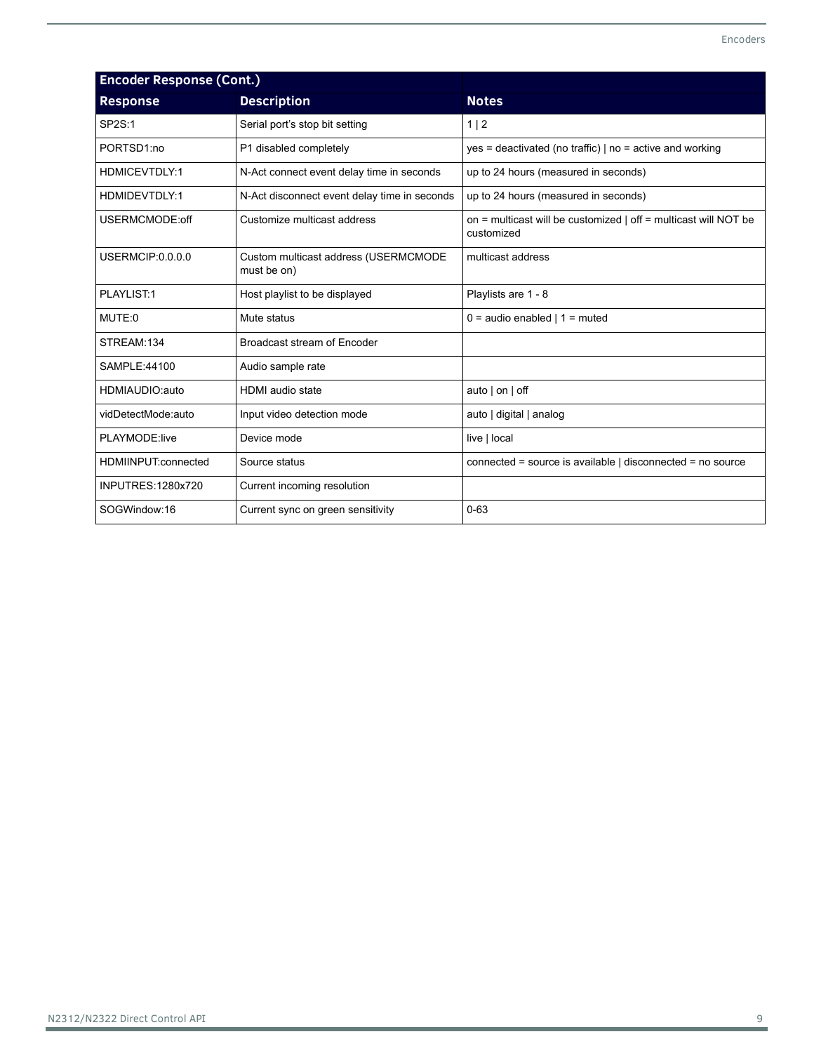| <b>Encoder Response (Cont.)</b> |                                                     |                                                                                 |  |
|---------------------------------|-----------------------------------------------------|---------------------------------------------------------------------------------|--|
| <b>Response</b>                 | <b>Description</b>                                  | <b>Notes</b>                                                                    |  |
| SP2S:1                          | Serial port's stop bit setting                      | 1 2                                                                             |  |
| PORTSD1:no                      | P1 disabled completely                              | $yes = deactivated (no traffic)   no = active and working$                      |  |
| <b>HDMICEVTDLY:1</b>            | N-Act connect event delay time in seconds           | up to 24 hours (measured in seconds)                                            |  |
| HDMIDEVTDLY:1                   | N-Act disconnect event delay time in seconds        | up to 24 hours (measured in seconds)                                            |  |
| USERMCMODE:off                  | Customize multicast address                         | on = multicast will be customized $ $ off = multicast will NOT be<br>customized |  |
| <b>USERMCIP:0.0.0.0</b>         | Custom multicast address (USERMCMODE<br>must be on) | multicast address                                                               |  |
| PLAYLIST:1                      | Host playlist to be displayed                       | Playlists are 1 - 8                                                             |  |
| MUTE:0                          | Mute status                                         | $0 =$ audio enabled   1 = muted                                                 |  |
| STREAM:134                      | Broadcast stream of Encoder                         |                                                                                 |  |
| SAMPLE:44100                    | Audio sample rate                                   |                                                                                 |  |
| HDMIAUDIO:auto                  | <b>HDMI</b> audio state                             | auto $ $ on $ $ off                                                             |  |
| vidDetectMode:auto              | Input video detection mode                          | auto   digital   analog                                                         |  |
| PLAYMODE:live                   | Device mode                                         | live   local                                                                    |  |
| HDMIINPUT:connected             | Source status                                       | connected = source is available   disconnected = no source                      |  |
| <b>INPUTRES: 1280x720</b>       | Current incoming resolution                         |                                                                                 |  |
| SOGWindow:16                    | Current sync on green sensitivity                   | $0 - 63$                                                                        |  |